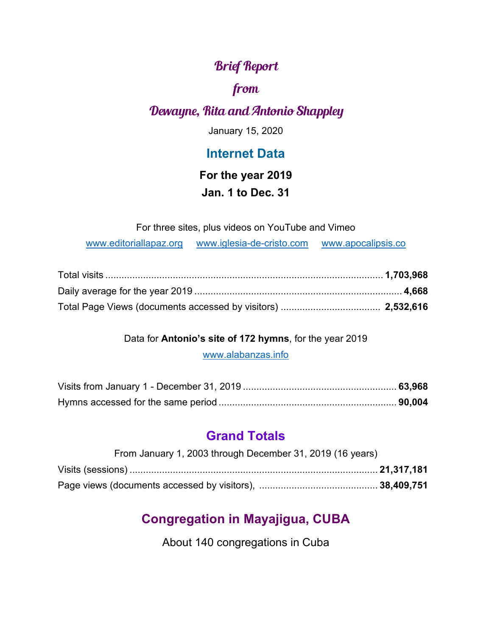## Brief Report

### from

## Dewayne, Rita and Antonio Shappley

January 15, 2020

### **Internet Data**

### **For the year 2019**

### **Jan. 1 to Dec. 31**

For three sites, plus videos on YouTube and Vimeo

[www.editoriallapaz.org](http://www.editoriallapaz.org/) [www.iglesia-de-cristo.com](http://www.iglesia-de-cristo.com/) [www.apocalipsis.co](http://www.apocalipsis.co/)

#### Data for **Antonio's site of 172 hymns**, for the year 2019

[www.alabanzas.info](http://www.alabanzas.info/)

## **Grand Totals**

| From January 1, 2003 through December 31, 2019 (16 years) |  |
|-----------------------------------------------------------|--|
|                                                           |  |
|                                                           |  |

# **Congregation in Mayajigua, CUBA**

About 140 congregations in Cuba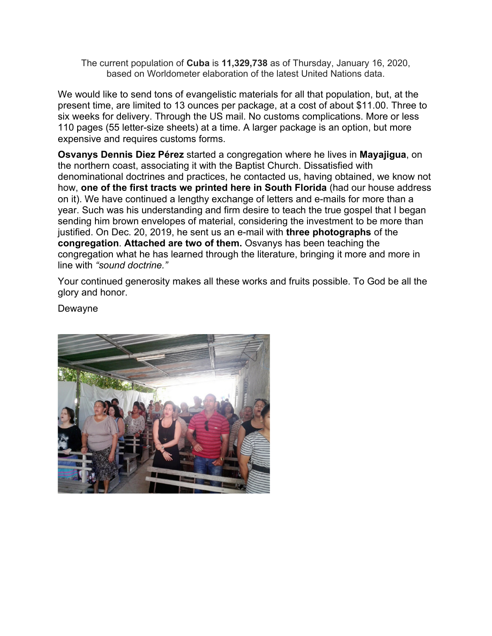The current population of **Cuba** is **11,329,738** as of Thursday, January 16, 2020, based on Worldometer elaboration of the latest United Nations data.

We would like to send tons of evangelistic materials for all that population, but, at the present time, are limited to 13 ounces per package, at a cost of about \$11.00. Three to six weeks for delivery. Through the US mail. No customs complications. More or less 110 pages (55 letter-size sheets) at a time. A larger package is an option, but more expensive and requires customs forms.

**Osvanys Dennis Diez Pérez** started a congregation where he lives in **Mayajigua**, on the northern coast, associating it with the Baptist Church. Dissatisfied with denominational doctrines and practices, he contacted us, having obtained, we know not how, **one of the first tracts we printed here in South Florida** (had our house address on it). We have continued a lengthy exchange of letters and e-mails for more than a year. Such was his understanding and firm desire to teach the true gospel that I began sending him brown envelopes of material, considering the investment to be more than justified. On Dec. 20, 2019, he sent us an e-mail with **three photographs** of the **congregation**. **Attached are two of them.** Osvanys has been teaching the congregation what he has learned through the literature, bringing it more and more in line with *"sound doctrine."*

Your continued generosity makes all these works and fruits possible. To God be all the glory and honor.

Dewayne